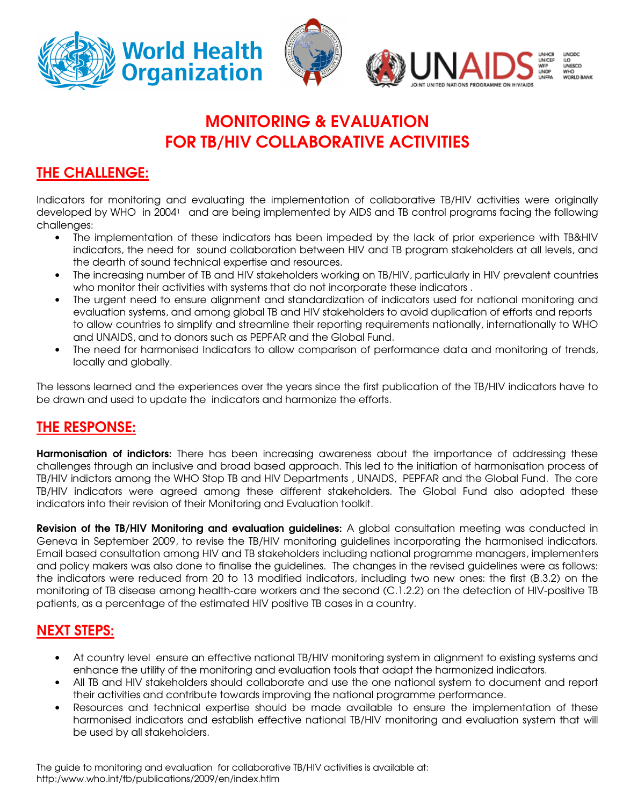

# MONITORING & EVALUATION FOR TB/HIV COLLABORATIVE ACTIVITIES

## THE CHALLENGE:

Indicators for monitoring and evaluating the implementation of collaborative TB/HIV activities were originally developed by WHO in 2004<sup>1</sup> and are being implemented by AIDS and TB control programs facing the following challenges:

- The implementation of these indicators has been impeded by the lack of prior experience with TB&HIV indicators, the need for sound collaboration between HIV and TB program stakeholders at all levels, and the dearth of sound technical expertise and resources.
- The increasing number of TB and HIV stakeholders working on TB/HIV, particularly in HIV prevalent countries who monitor their activities with systems that do not incorporate these indicators .
- The urgent need to ensure alignment and standardization of indicators used for national monitoring and evaluation systems, and among global TB and HIV stakeholders to avoid duplication of efforts and reports to allow countries to simplify and streamline their reporting requirements nationally, internationally to WHO and UNAIDS, and to donors such as PEPFAR and the Global Fund.
- The need for harmonised Indicators to allow comparison of performance data and monitoring of trends, locally and globally.

The lessons learned and the experiences over the years since the first publication of the TB/HIV indicators have to be drawn and used to update the indicators and harmonize the efforts.

### THE RESPONSE:

Harmonisation of indictors: There has been increasing awareness about the importance of addressing these challenges through an inclusive and broad based approach. This led to the initiation of harmonisation process of TB/HIV indictors among the WHO Stop TB and HIV Departments , UNAIDS, PEPFAR and the Global Fund. The core TB/HIV indicators were agreed among these different stakeholders. The Global Fund also adopted these indicators into their revision of their Monitoring and Evaluation toolkit.

Revision of the TB/HIV Monitoring and evaluation guidelines: A global consultation meeting was conducted in Geneva in September 2009, to revise the TB/HIV monitoring guidelines incorporating the harmonised indicators. Email based consultation among HIV and TB stakeholders including national programme managers, implementers and policy makers was also done to finalise the guidelines. The changes in the revised guidelines were as follows: the indicators were reduced from 20 to 13 modified indicators, including two new ones: the first (B.3.2) on the monitoring of TB disease among health-care workers and the second (C.1.2.2) on the detection of HIV-positive TB patients, as a percentage of the estimated HIV positive TB cases in a country.

# NEXT STEPS:

- At country level ensure an effective national TB/HIV monitoring system in alignment to existing systems and enhance the utility of the monitoring and evaluation tools that adapt the harmonized indicators.
- All TB and HIV stakeholders should collaborate and use the one national system to document and report their activities and contribute towards improving the national programme performance.
- Resources and technical expertise should be made available to ensure the implementation of these harmonised indicators and establish effective national TB/HIV monitoring and evaluation system that will be used by all stakeholders.

The guide to monitoring and evaluation for collaborative TB/HIV activities is available at: http:/www.who.int/tb/publications/2009/en/index.htlm